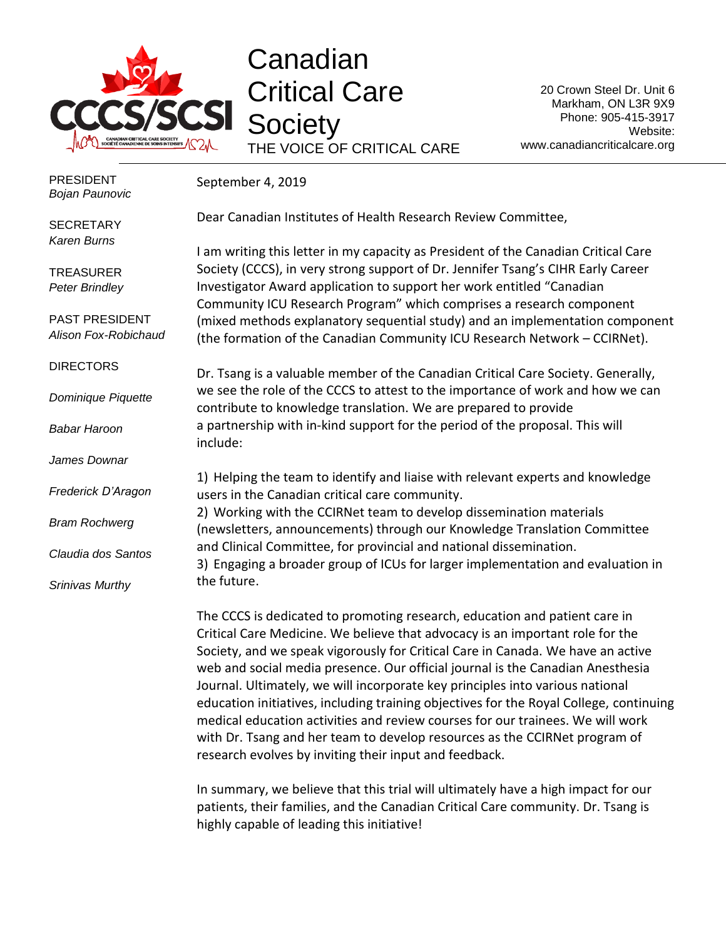

Canadian Critical Care **Society** THE VOICE OF CRITICAL CARE

20 Crown Steel Dr. Unit 6 Markham, ON L3R 9X9 Phone: 905-415-3917 Website: www.canadiancriticalcare.org

September 4, 2019 Dear Canadian Institutes of Health Research Review Committee, I am writing this letter in my capacity as President of the Canadian Critical Care Society (CCCS), in very strong support of Dr. Jennifer Tsang's CIHR Early Career Investigator Award application to support her work entitled "Canadian Community ICU Research Program" which comprises a research component (mixed methods explanatory sequential study) and an implementation component (the formation of the Canadian Community ICU Research Network – CCIRNet). Dr. Tsang is a valuable member of the Canadian Critical Care Society. Generally, we see the role of the CCCS to attest to the importance of work and how we can contribute to knowledge translation. We are prepared to provide a partnership with in-kind support for the period of the proposal. This will include: 1) Helping the team to identify and liaise with relevant experts and knowledge users in the Canadian critical care community. 2) Working with the CCIRNet team to develop dissemination materials (newsletters, announcements) through our Knowledge Translation Committee and Clinical Committee, for provincial and national dissemination. 3) Engaging a broader group of ICUs for larger implementation and evaluation in the future. The CCCS is dedicated to promoting research, education and patient care in Critical Care Medicine. We believe that advocacy is an important role for the Society, and we speak vigorously for Critical Care in Canada. We have an active PRESIDENT *Bojan Paunovic* **SECRETARY** *Karen Burns* **TREASURER** *Peter Brindley* PAST PRESIDENT *Alison Fox-Robichaud* **DIRECTORS** *Dominique Piquette Babar Haroon James Downar Frederick D'Aragon Bram Rochwerg Claudia dos Santos Srinivas Murthy*

web and social media presence. Our official journal is the Canadian Anesthesia Journal. Ultimately, we will incorporate key principles into various national education initiatives, including training objectives for the Royal College, continuing medical education activities and review courses for our trainees. We will work with Dr. Tsang and her team to develop resources as the CCIRNet program of research evolves by inviting their input and feedback.

In summary, we believe that this trial will ultimately have a high impact for our patients, their families, and the Canadian Critical Care community. Dr. Tsang is highly capable of leading this initiative!